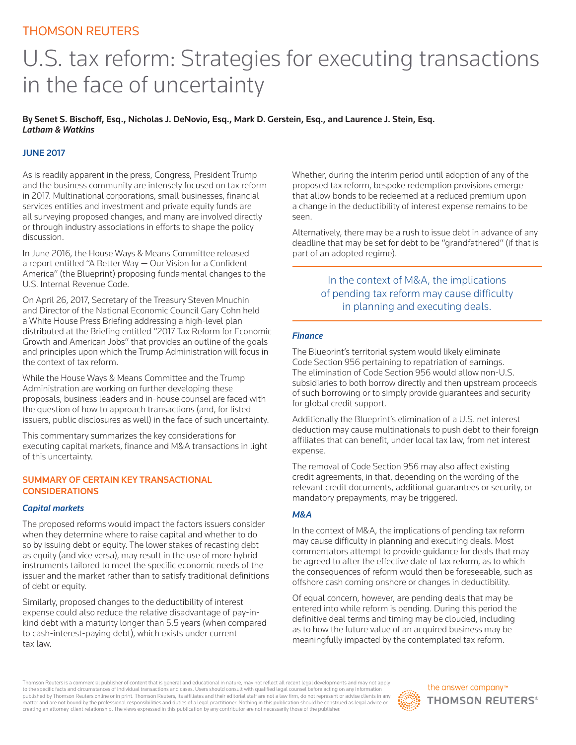# THOMSON REUTERS

# U.S. tax reform: Strategies for executing transactions in the face of uncertainty

By Senet S. Bischoff, Esq., Nicholas J. DeNovio, Esq., Mark D. Gerstein, Esq., and Laurence J. Stein, Esq. *Latham & Watkins* 

# JUNE 2017

As is readily apparent in the press, Congress, President Trump and the business community are intensely focused on tax reform in 2017. Multinational corporations, small businesses, financial services entities and investment and private equity funds are all surveying proposed changes, and many are involved directly or through industry associations in efforts to shape the policy discussion.

In June 2016, the House Ways & Means Committee released a report entitled "A Better Way — Our Vision for a Confident America" (the Blueprint) proposing fundamental changes to the U.S. Internal Revenue Code.

On April 26, 2017, Secretary of the Treasury Steven Mnuchin and Director of the National Economic Council Gary Cohn held a White House Press Briefing addressing a high-level plan distributed at the Briefing entitled "2017 Tax Reform for Economic Growth and American Jobs" that provides an outline of the goals and principles upon which the Trump Administration will focus in the context of tax reform.

While the House Ways & Means Committee and the Trump Administration are working on further developing these proposals, business leaders and in-house counsel are faced with the question of how to approach transactions (and, for listed issuers, public disclosures as well) in the face of such uncertainty.

This commentary summarizes the key considerations for executing capital markets, finance and M&A transactions in light of this uncertainty.

## SUMMARY OF CERTAIN KEY TRANSACTIONAL **CONSIDERATIONS**

#### *Capital markets*

The proposed reforms would impact the factors issuers consider when they determine where to raise capital and whether to do so by issuing debt or equity. The lower stakes of recasting debt as equity (and vice versa), may result in the use of more hybrid instruments tailored to meet the specific economic needs of the issuer and the market rather than to satisfy traditional definitions of debt or equity.

Similarly, proposed changes to the deductibility of interest expense could also reduce the relative disadvantage of pay-inkind debt with a maturity longer than 5.5 years (when compared to cash-interest-paying debt), which exists under current tax law.

Whether, during the interim period until adoption of any of the proposed tax reform, bespoke redemption provisions emerge that allow bonds to be redeemed at a reduced premium upon a change in the deductibility of interest expense remains to be seen.

Alternatively, there may be a rush to issue debt in advance of any deadline that may be set for debt to be "grandfathered" (if that is part of an adopted regime).

# In the context of M&A, the implications of pending tax reform may cause difficulty in planning and executing deals.

#### *Finance*

The Blueprint's territorial system would likely eliminate Code Section 956 pertaining to repatriation of earnings. The elimination of Code Section 956 would allow non-U.S. subsidiaries to both borrow directly and then upstream proceeds of such borrowing or to simply provide guarantees and security for global credit support.

Additionally the Blueprint's elimination of a U.S. net interest deduction may cause multinationals to push debt to their foreign affiliates that can benefit, under local tax law, from net interest expense.

The removal of Code Section 956 may also affect existing credit agreements, in that, depending on the wording of the relevant credit documents, additional guarantees or security, or mandatory prepayments, may be triggered.

#### *M&A*

In the context of M&A, the implications of pending tax reform may cause difficulty in planning and executing deals. Most commentators attempt to provide guidance for deals that may be agreed to after the effective date of tax reform, as to which the consequences of reform would then be foreseeable, such as offshore cash coming onshore or changes in deductibility.

Of equal concern, however, are pending deals that may be entered into while reform is pending. During this period the definitive deal terms and timing may be clouded, including as to how the future value of an acquired business may be meaningfully impacted by the contemplated tax reform.

Thomson Reuters is a commercial publisher of content that is general and educational in nature, may not reflect all recent legal developments and may not apply to the specific facts and circumstances of individual transactions and cases. Users should consult with qualified legal counsel before acting on any information<br>published by Thomson Reuters online or in print. Thomson Reut matter and are not bound by the professional responsibilities and duties of a legal practitioner. Nothing in this publication should be construed as legal advice or creating an attorney-client relationship. The views expressed in this publication by any contributor are not necessarily those of the publisher.

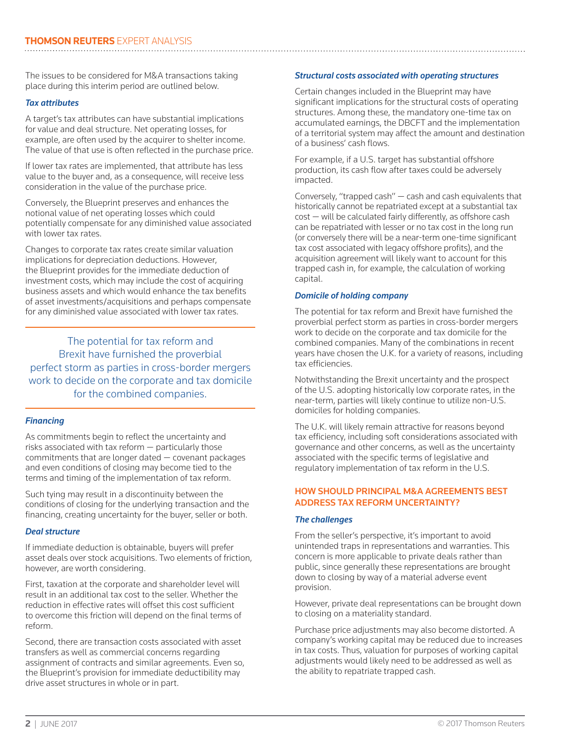The issues to be considered for M&A transactions taking place during this interim period are outlined below.

### *Tax attributes*

A target's tax attributes can have substantial implications for value and deal structure. Net operating losses, for example, are often used by the acquirer to shelter income. The value of that use is often reflected in the purchase price.

If lower tax rates are implemented, that attribute has less value to the buyer and, as a consequence, will receive less consideration in the value of the purchase price.

Conversely, the Blueprint preserves and enhances the notional value of net operating losses which could potentially compensate for any diminished value associated with lower tax rates.

Changes to corporate tax rates create similar valuation implications for depreciation deductions. However, the Blueprint provides for the immediate deduction of investment costs, which may include the cost of acquiring business assets and which would enhance the tax benefits of asset investments/acquisitions and perhaps compensate for any diminished value associated with lower tax rates.

The potential for tax reform and Brexit have furnished the proverbial perfect storm as parties in cross-border mergers work to decide on the corporate and tax domicile for the combined companies.

#### *Financing*

As commitments begin to reflect the uncertainty and risks associated with tax reform — particularly those commitments that are longer dated — covenant packages and even conditions of closing may become tied to the terms and timing of the implementation of tax reform.

Such tying may result in a discontinuity between the conditions of closing for the underlying transaction and the financing, creating uncertainty for the buyer, seller or both.

#### *Deal structure*

If immediate deduction is obtainable, buyers will prefer asset deals over stock acquisitions. Two elements of friction, however, are worth considering.

First, taxation at the corporate and shareholder level will result in an additional tax cost to the seller. Whether the reduction in effective rates will offset this cost sufficient to overcome this friction will depend on the final terms of reform.

Second, there are transaction costs associated with asset transfers as well as commercial concerns regarding assignment of contracts and similar agreements. Even so, the Blueprint's provision for immediate deductibility may drive asset structures in whole or in part.

## *Structural costs associated with operating structures*

Certain changes included in the Blueprint may have significant implications for the structural costs of operating structures. Among these, the mandatory one-time tax on accumulated earnings, the DBCFT and the implementation of a territorial system may affect the amount and destination of a business' cash flows.

For example, if a U.S. target has substantial offshore production, its cash flow after taxes could be adversely impacted.

Conversely, "trapped cash" — cash and cash equivalents that historically cannot be repatriated except at a substantial tax cost — will be calculated fairly differently, as offshore cash can be repatriated with lesser or no tax cost in the long run (or conversely there will be a near-term one-time significant tax cost associated with legacy offshore profits), and the acquisition agreement will likely want to account for this trapped cash in, for example, the calculation of working capital.

### *Domicile of holding company*

The potential for tax reform and Brexit have furnished the proverbial perfect storm as parties in cross-border mergers work to decide on the corporate and tax domicile for the combined companies. Many of the combinations in recent years have chosen the U.K. for a variety of reasons, including tax efficiencies.

Notwithstanding the Brexit uncertainty and the prospect of the U.S. adopting historically low corporate rates, in the near-term, parties will likely continue to utilize non-U.S. domiciles for holding companies.

The U.K. will likely remain attractive for reasons beyond tax efficiency, including soft considerations associated with governance and other concerns, as well as the uncertainty associated with the specific terms of legislative and regulatory implementation of tax reform in the U.S.

## HOW SHOULD PRINCIPAL M&A AGREEMENTS BEST ADDRESS TAX REFORM UNCERTAINTY?

#### *The challenges*

From the seller's perspective, it's important to avoid unintended traps in representations and warranties. This concern is more applicable to private deals rather than public, since generally these representations are brought down to closing by way of a material adverse event provision.

However, private deal representations can be brought down to closing on a materiality standard.

Purchase price adjustments may also become distorted. A company's working capital may be reduced due to increases in tax costs. Thus, valuation for purposes of working capital adjustments would likely need to be addressed as well as the ability to repatriate trapped cash.